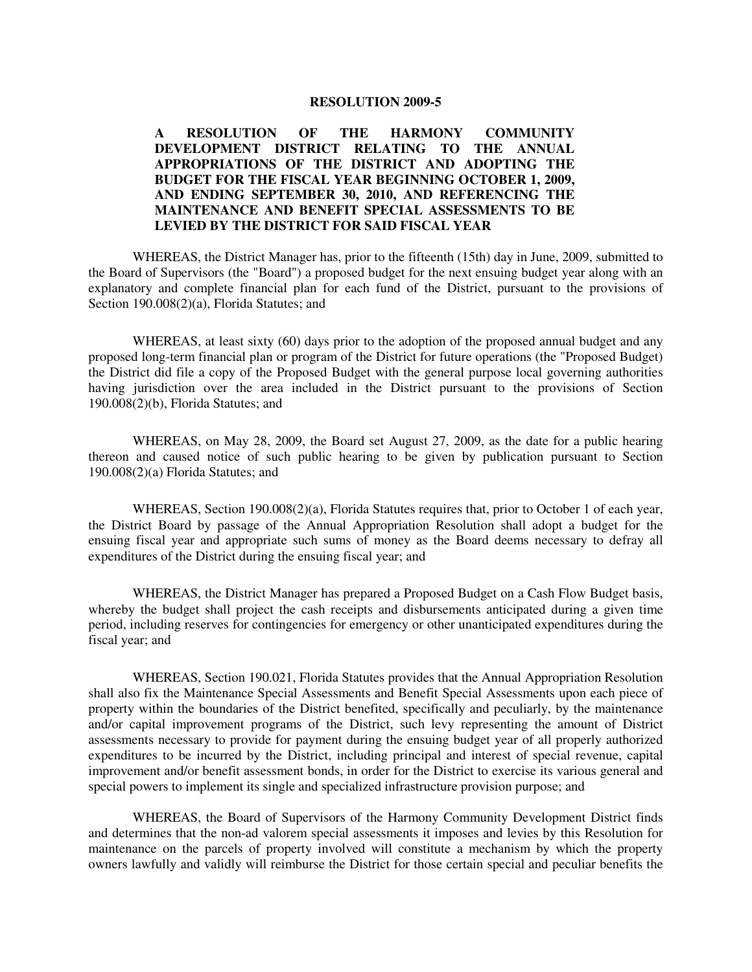#### **RESOLUTION 2009-5**

## **A RESOLUTION OF THE HARMONY COMMUNITY DEVELOPMENT DISTRICT RELATING TO THE ANNUAL APPROPRIATIONS OF THE DISTRICT AND ADOPTING THE BUDGET FOR THE FISCAL YEAR BEGINNING OCTOBER 1, 2009, AND ENDING SEPTEMBER 30, 2010, AND REFERENCING THE MAINTENANCE AND BENEFIT SPECIAL ASSESSMENTS TO BE LEVIED BY THE DISTRICT FOR SAID FISCAL YEAR**

 WHEREAS, the District Manager has, prior to the fifteenth (15th) day in June, 2009, submitted to the Board of Supervisors (the "Board") a proposed budget for the next ensuing budget year along with an explanatory and complete financial plan for each fund of the District, pursuant to the provisions of Section 190.008(2)(a), Florida Statutes; and

WHEREAS, at least sixty (60) days prior to the adoption of the proposed annual budget and any proposed long-term financial plan or program of the District for future operations (the "Proposed Budget) the District did file a copy of the Proposed Budget with the general purpose local governing authorities having jurisdiction over the area included in the District pursuant to the provisions of Section 190.008(2)(b), Florida Statutes; and

 WHEREAS, on May 28, 2009, the Board set August 27, 2009, as the date for a public hearing thereon and caused notice of such public hearing to be given by publication pursuant to Section 190.008(2)(a) Florida Statutes; and

 WHEREAS, Section 190.008(2)(a), Florida Statutes requires that, prior to October 1 of each year, the District Board by passage of the Annual Appropriation Resolution shall adopt a budget for the ensuing fiscal year and appropriate such sums of money as the Board deems necessary to defray all expenditures of the District during the ensuing fiscal year; and

 WHEREAS, the District Manager has prepared a Proposed Budget on a Cash Flow Budget basis, whereby the budget shall project the cash receipts and disbursements anticipated during a given time period, including reserves for contingencies for emergency or other unanticipated expenditures during the fiscal year; and

 WHEREAS, Section 190.021, Florida Statutes provides that the Annual Appropriation Resolution shall also fix the Maintenance Special Assessments and Benefit Special Assessments upon each piece of property within the boundaries of the District benefited, specifically and peculiarly, by the maintenance and/or capital improvement programs of the District, such levy representing the amount of District assessments necessary to provide for payment during the ensuing budget year of all properly authorized expenditures to be incurred by the District, including principal and interest of special revenue, capital improvement and/or benefit assessment bonds, in order for the District to exercise its various general and special powers to implement its single and specialized infrastructure provision purpose; and

 WHEREAS, the Board of Supervisors of the Harmony Community Development District finds and determines that the non-ad valorem special assessments it imposes and levies by this Resolution for maintenance on the parcels of property involved will constitute a mechanism by which the property owners lawfully and validly will reimburse the District for those certain special and peculiar benefits the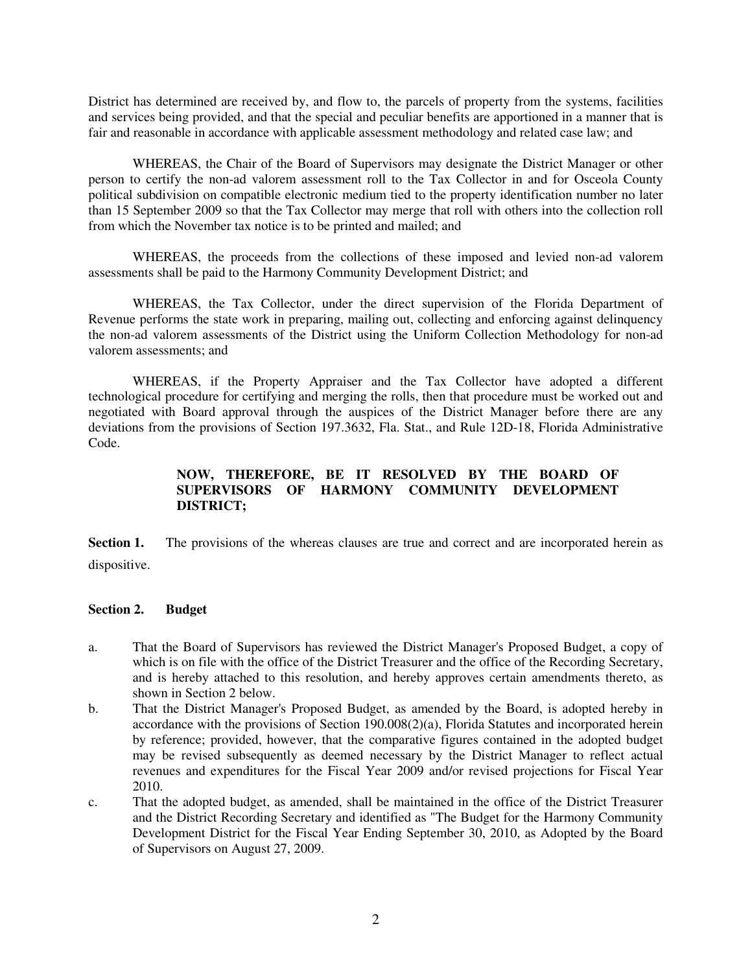District has determined are received by, and flow to, the parcels of property from the systems, facilities and services being provided, and that the special and peculiar benefits are apportioned in a manner that is fair and reasonable in accordance with applicable assessment methodology and related case law; and

 WHEREAS, the Chair of the Board of Supervisors may designate the District Manager or other person to certify the non-ad valorem assessment roll to the Tax Collector in and for Osceola County political subdivision on compatible electronic medium tied to the property identification number no later than 15 September 2009 so that the Tax Collector may merge that roll with others into the collection roll from which the November tax notice is to be printed and mailed; and

 WHEREAS, the proceeds from the collections of these imposed and levied non-ad valorem assessments shall be paid to the Harmony Community Development District; and

 WHEREAS, the Tax Collector, under the direct supervision of the Florida Department of Revenue performs the state work in preparing, mailing out, collecting and enforcing against delinquency the non-ad valorem assessments of the District using the Uniform Collection Methodology for non-ad valorem assessments; and

 WHEREAS, if the Property Appraiser and the Tax Collector have adopted a different technological procedure for certifying and merging the rolls, then that procedure must be worked out and negotiated with Board approval through the auspices of the District Manager before there are any deviations from the provisions of Section 197.3632, Fla. Stat., and Rule 12D-18, Florida Administrative Code.

# **NOW, THEREFORE, BE IT RESOLVED BY THE BOARD OF SUPERVISORS OF HARMONY COMMUNITY DEVELOPMENT DISTRICT;**

**Section 1.** The provisions of the whereas clauses are true and correct and are incorporated herein as dispositive.

#### **Section 2. Budget**

- a. That the Board of Supervisors has reviewed the District Manager's Proposed Budget, a copy of which is on file with the office of the District Treasurer and the office of the Recording Secretary, and is hereby attached to this resolution, and hereby approves certain amendments thereto, as shown in Section 2 below.
- b. That the District Manager's Proposed Budget, as amended by the Board, is adopted hereby in accordance with the provisions of Section 190.008(2)(a), Florida Statutes and incorporated herein by reference; provided, however, that the comparative figures contained in the adopted budget may be revised subsequently as deemed necessary by the District Manager to reflect actual revenues and expenditures for the Fiscal Year 2009 and/or revised projections for Fiscal Year 2010.
- c. That the adopted budget, as amended, shall be maintained in the office of the District Treasurer and the District Recording Secretary and identified as "The Budget for the Harmony Community Development District for the Fiscal Year Ending September 30, 2010, as Adopted by the Board of Supervisors on August 27, 2009.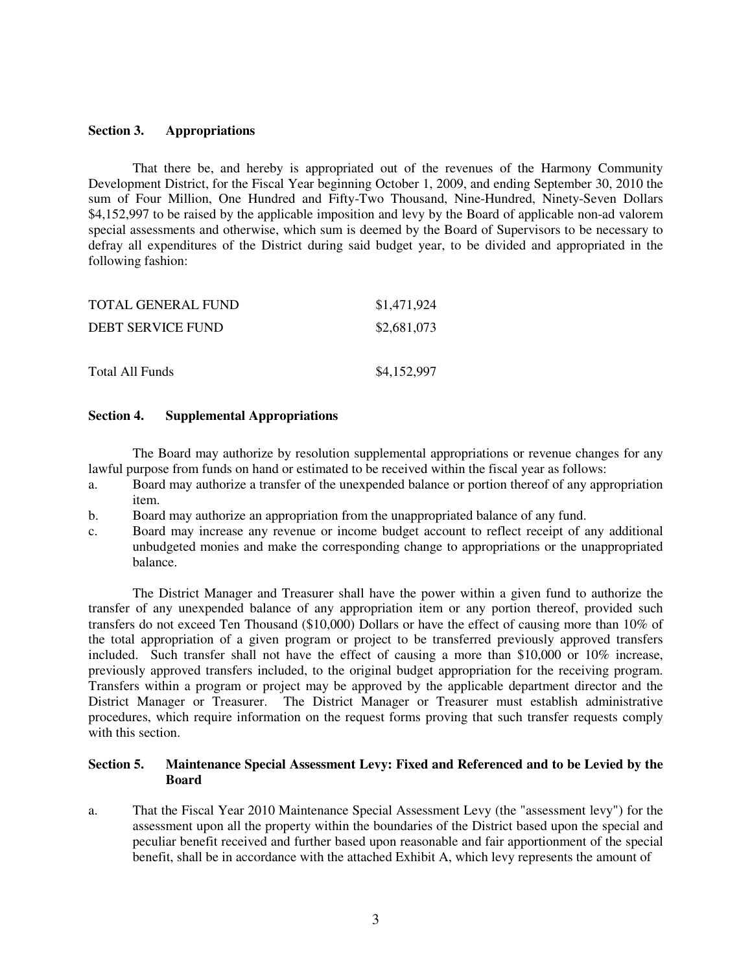### **Section 3. Appropriations**

 That there be, and hereby is appropriated out of the revenues of the Harmony Community Development District, for the Fiscal Year beginning October 1, 2009, and ending September 30, 2010 the sum of Four Million, One Hundred and Fifty-Two Thousand, Nine-Hundred, Ninety-Seven Dollars \$4,152,997 to be raised by the applicable imposition and levy by the Board of applicable non-ad valorem special assessments and otherwise, which sum is deemed by the Board of Supervisors to be necessary to defray all expenditures of the District during said budget year, to be divided and appropriated in the following fashion:

| TOTAL GENERAL FUND | \$1,471,924 |
|--------------------|-------------|
| DEBT SERVICE FUND  | \$2,681,073 |
|                    |             |
| Total All Funds    | \$4,152,997 |

## **Section 4. Supplemental Appropriations**

 The Board may authorize by resolution supplemental appropriations or revenue changes for any lawful purpose from funds on hand or estimated to be received within the fiscal year as follows:

- a. Board may authorize a transfer of the unexpended balance or portion thereof of any appropriation item.
- b. Board may authorize an appropriation from the unappropriated balance of any fund.
- c. Board may increase any revenue or income budget account to reflect receipt of any additional unbudgeted monies and make the corresponding change to appropriations or the unappropriated balance.

 The District Manager and Treasurer shall have the power within a given fund to authorize the transfer of any unexpended balance of any appropriation item or any portion thereof, provided such transfers do not exceed Ten Thousand (\$10,000) Dollars or have the effect of causing more than 10% of the total appropriation of a given program or project to be transferred previously approved transfers included. Such transfer shall not have the effect of causing a more than \$10,000 or 10% increase, previously approved transfers included, to the original budget appropriation for the receiving program. Transfers within a program or project may be approved by the applicable department director and the District Manager or Treasurer. The District Manager or Treasurer must establish administrative procedures, which require information on the request forms proving that such transfer requests comply with this section.

## **Section 5. Maintenance Special Assessment Levy: Fixed and Referenced and to be Levied by the Board**

a. That the Fiscal Year 2010 Maintenance Special Assessment Levy (the "assessment levy") for the assessment upon all the property within the boundaries of the District based upon the special and peculiar benefit received and further based upon reasonable and fair apportionment of the special benefit, shall be in accordance with the attached Exhibit A, which levy represents the amount of